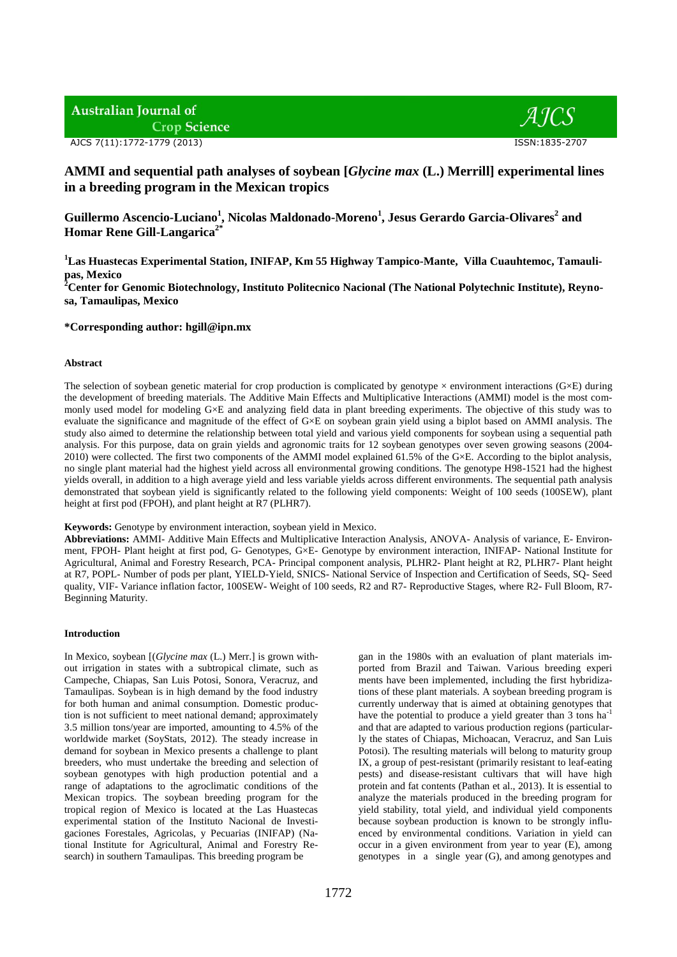# **Australian Journal of Crop Science**

AJCS 7(11):1772-1779 (2013) ISSN:1835-2707



## **AMMI and sequential path analyses of soybean [***Glycine max* **(L.) Merrill] experimental lines in a breeding program in the Mexican tropics**

**Guillermo Ascencio-Luciano<sup>1</sup> , Nicolas Maldonado-Moreno<sup>1</sup> , Jesus Gerardo Garcia-Olivares<sup>2</sup> and Homar Rene Gill-Langarica2\***

**<sup>1</sup>Las Huastecas Experimental Station, INIFAP, Km 55 Highway Tampico-Mante, Villa Cuauhtemoc, Tamaulipas, Mexico** 

**<sup>2</sup>Center for Genomic Biotechnology, Instituto Politecnico Nacional (The National Polytechnic Institute), Reynosa, Tamaulipas, Mexico** 

## **\*Corresponding author: hgill@ipn.mx**

#### **Abstract**

The selection of soybean genetic material for crop production is complicated by genotype  $\times$  environment interactions (G $\times$ E) during the development of breeding materials. The Additive Main Effects and Multiplicative Interactions (AMMI) model is the most commonly used model for modeling G×E and analyzing field data in plant breeding experiments. The objective of this study was to evaluate the significance and magnitude of the effect of G×E on soybean grain yield using a biplot based on AMMI analysis. The study also aimed to determine the relationship between total yield and various yield components for soybean using a sequential path analysis. For this purpose, data on grain yields and agronomic traits for 12 soybean genotypes over seven growing seasons (2004- 2010) were collected. The first two components of the AMMI model explained 61.5% of the G×E. According to the biplot analysis, no single plant material had the highest yield across all environmental growing conditions. The genotype H98-1521 had the highest yields overall, in addition to a high average yield and less variable yields across different environments. The sequential path analysis demonstrated that soybean yield is significantly related to the following yield components: Weight of 100 seeds (100SEW), plant height at first pod (FPOH), and plant height at R7 (PLHR7).

## **Keywords:** Genotype by environment interaction, soybean yield in Mexico.

**Abbreviations:** AMMI- Additive Main Effects and Multiplicative Interaction Analysis, ANOVA- Analysis of variance, E- Environment, FPOH- Plant height at first pod, G- Genotypes, G×E- Genotype by environment interaction, INIFAP- National Institute for Agricultural, Animal and Forestry Research, PCA- Principal component analysis, PLHR2- Plant height at R2, PLHR7- Plant height at R7, POPL- Number of pods per plant, YIELD-Yield, SNICS- National Service of Inspection and Certification of Seeds, SQ- Seed quality, VIF- Variance inflation factor, 100SEW- Weight of 100 seeds, R2 and R7- Reproductive Stages, where R2- Full Bloom, R7- Beginning Maturity.

#### **Introduction**

In Mexico, soybean [(*Glycine max* (L.) Merr.] is grown without irrigation in states with a subtropical climate, such as Campeche, Chiapas, San Luis Potosi, Sonora, Veracruz, and Tamaulipas. Soybean is in high demand by the food industry for both human and animal consumption. Domestic production is not sufficient to meet national demand; approximately 3.5 million tons/year are imported, amounting to 4.5% of the worldwide market (SoyStats, 2012). The steady increase in demand for soybean in Mexico presents a challenge to plant breeders, who must undertake the breeding and selection of soybean genotypes with high production potential and a range of adaptations to the agroclimatic conditions of the Mexican tropics. The soybean breeding program for the tropical region of Mexico is located at the Las Huastecas experimental station of the Instituto Nacional de Investigaciones Forestales, Agricolas, y Pecuarias (INIFAP) (National Institute for Agricultural, Animal and Forestry Research) in southern Tamaulipas. This breeding program be

gan in the 1980s with an evaluation of plant materials imported from Brazil and Taiwan. Various breeding experi ments have been implemented, including the first hybridizations of these plant materials. A soybean breeding program is currently underway that is aimed at obtaining genotypes that have the potential to produce a yield greater than 3 tons ha<sup>-1</sup> and that are adapted to various production regions (particularly the states of Chiapas, Michoacan, Veracruz, and San Luis Potosi). The resulting materials will belong to maturity group IX, a group of pest-resistant (primarily resistant to leaf-eating pests) and disease-resistant cultivars that will have high protein and fat contents (Pathan et al., 2013). It is essential to analyze the materials produced in the breeding program for yield stability, total yield, and individual yield components because soybean production is known to be strongly influenced by environmental conditions. Variation in yield can occur in a given environment from year to year (E), among genotypes in a single year (G), and among genotypes and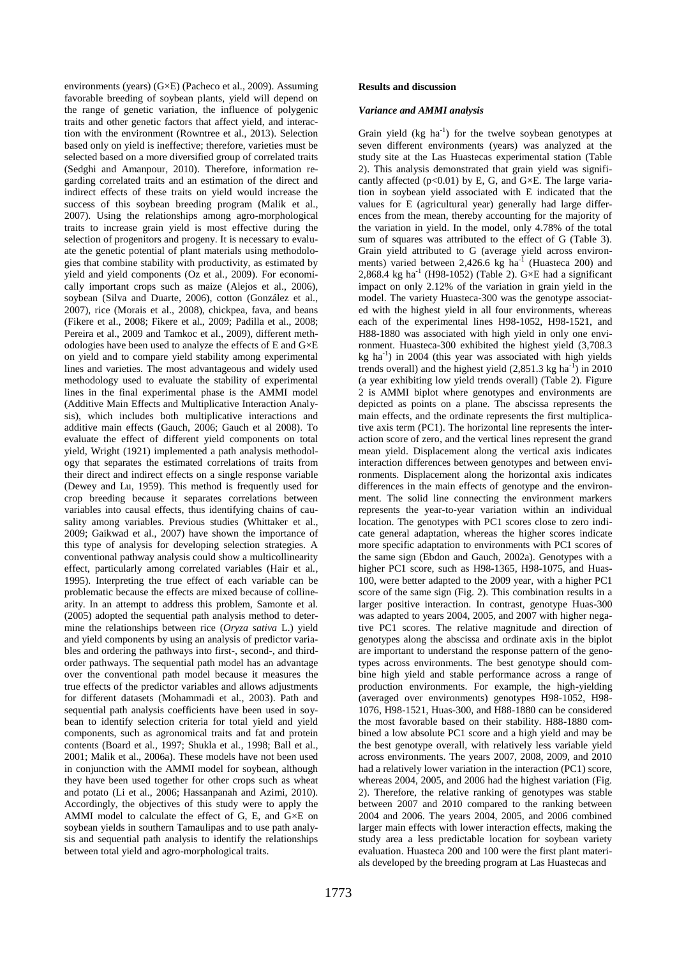environments (years) (G×E) (Pacheco et al., 2009). Assuming favorable breeding of soybean plants, yield will depend on the range of genetic variation, the influence of polygenic traits and other genetic factors that affect yield, and interaction with the environment (Rowntree et al., 2013). Selection based only on yield is ineffective; therefore, varieties must be selected based on a more diversified group of correlated traits (Sedghi and Amanpour, 2010). Therefore, information regarding correlated traits and an estimation of the direct and indirect effects of these traits on yield would increase the success of this soybean breeding program (Malik et al., 2007). Using the relationships among agro-morphological traits to increase grain yield is most effective during the selection of progenitors and progeny. It is necessary to evaluate the genetic potential of plant materials using methodologies that combine stability with productivity, as estimated by yield and yield components (Oz et al., 2009). For economically important crops such as maize (Alejos et al., 2006), soybean (Silva and Duarte, 2006), cotton (González et al., 2007), rice (Morais et al., 2008), chickpea, fava, and beans (Fikere et al., 2008; Fikere et al., 2009; Padilla et al., 2008; Pereira et al., 2009 and Tamkoc et al., 2009), different methodologies have been used to analyze the effects of E and G×E on yield and to compare yield stability among experimental lines and varieties. The most advantageous and widely used methodology used to evaluate the stability of experimental lines in the final experimental phase is the AMMI model (Additive Main Effects and Multiplicative Interaction Analysis), which includes both multiplicative interactions and additive main effects (Gauch, 2006; Gauch et al 2008). To evaluate the effect of different yield components on total yield, Wright (1921) implemented a path analysis methodology that separates the estimated correlations of traits from their direct and indirect effects on a single response variable (Dewey and Lu, 1959). This method is frequently used for crop breeding because it separates correlations between variables into causal effects, thus identifying chains of causality among variables. Previous studies (Whittaker et al., 2009; Gaikwad et al., 2007) have shown the importance of this type of analysis for developing selection strategies. A conventional pathway analysis could show a multicollinearity effect, particularly among correlated variables (Hair et al*.,*  1995). Interpreting the true effect of each variable can be problematic because the effects are mixed because of collinearity. In an attempt to address this problem, Samonte et al*.* (2005) adopted the sequential path analysis method to determine the relationships between rice (*Oryza sativa* L.) yield and yield components by using an analysis of predictor variables and ordering the pathways into first-, second-, and thirdorder pathways. The sequential path model has an advantage over the conventional path model because it measures the true effects of the predictor variables and allows adjustments for different datasets (Mohammadi et al*.,* 2003). Path and sequential path analysis coefficients have been used in soybean to identify selection criteria for total yield and yield components, such as agronomical traits and fat and protein contents (Board et al*.,* 1997; Shukla et al*.,* 1998; Ball et al., 2001; Malik et al., 2006a). These models have not been used in conjunction with the AMMI model for soybean, although they have been used together for other crops such as wheat and potato (Li et al., 2006; Hassanpanah and Azimi, 2010). Accordingly, the objectives of this study were to apply the AMMI model to calculate the effect of G, E, and G×E on soybean yields in southern Tamaulipas and to use path analysis and sequential path analysis to identify the relationships between total yield and agro-morphological traits.

## *Variance and AMMI analysis*

Grain yield  $(kg \ ha^{-1})$  for the twelve soybean genotypes at seven different environments (years) was analyzed at the study site at the Las Huastecas experimental station (Table 2). This analysis demonstrated that grain yield was significantly affected ( $p<0.01$ ) by E, G, and G $\times$ E. The large variation in soybean yield associated with E indicated that the values for E (agricultural year) generally had large differences from the mean, thereby accounting for the majority of the variation in yield. In the model, only 4.78% of the total sum of squares was attributed to the effect of G (Table 3). Grain yield attributed to G (average yield across environments) varied between  $2,426.6 \text{ kg } \text{ha}^{-1}$  (Huasteca 200) and 2,868.4 kg ha<sup>-1</sup> (H98-1052) (Table 2). G $\times$ E had a significant impact on only 2.12% of the variation in grain yield in the model. The variety Huasteca-300 was the genotype associated with the highest yield in all four environments, whereas each of the experimental lines H98-1052, H98-1521, and H88-1880 was associated with high yield in only one environment. Huasteca-300 exhibited the highest yield (3,708.3  $kg$  ha<sup>-1</sup>) in 2004 (this year was associated with high yields trends overall) and the highest yield  $(2,851.3 \text{ kg ha}^{-1})$  in 2010 (a year exhibiting low yield trends overall) (Table 2). Figure 2 is AMMI biplot where genotypes and environments are depicted as points on a plane. The abscissa represents the main effects, and the ordinate represents the first multiplicative axis term (PC1). The horizontal line represents the interaction score of zero, and the vertical lines represent the grand mean yield. Displacement along the vertical axis indicates interaction differences between genotypes and between environments. Displacement along the horizontal axis indicates differences in the main effects of genotype and the environment. The solid line connecting the environment markers represents the year-to-year variation within an individual location. The genotypes with PC1 scores close to zero indicate general adaptation, whereas the higher scores indicate more specific adaptation to environments with PC1 scores of the same sign (Ebdon and Gauch, 2002a). Genotypes with a higher PC1 score, such as H98-1365, H98-1075, and Huas-100, were better adapted to the 2009 year, with a higher PC1 score of the same sign (Fig. 2). This combination results in a larger positive interaction. In contrast, genotype Huas-300 was adapted to years 2004, 2005, and 2007 with higher negative PC1 scores. The relative magnitude and direction of genotypes along the abscissa and ordinate axis in the biplot are important to understand the response pattern of the genotypes across environments. The best genotype should combine high yield and stable performance across a range of production environments. For example, the high-yielding (averaged over environments) genotypes H98-1052, H98- 1076, H98-1521, Huas-300, and H88-1880 can be considered the most favorable based on their stability. H88-1880 combined a low absolute PC1 score and a high yield and may be the best genotype overall, with relatively less variable yield across environments. The years 2007, 2008, 2009, and 2010 had a relatively lower variation in the interaction (PC1) score, whereas 2004, 2005, and 2006 had the highest variation (Fig. 2). Therefore, the relative ranking of genotypes was stable between 2007 and 2010 compared to the ranking between 2004 and 2006. The years 2004, 2005, and 2006 combined larger main effects with lower interaction effects, making the study area a less predictable location for soybean variety evaluation. Huasteca 200 and 100 were the first plant materials developed by the breeding program at Las Huastecas and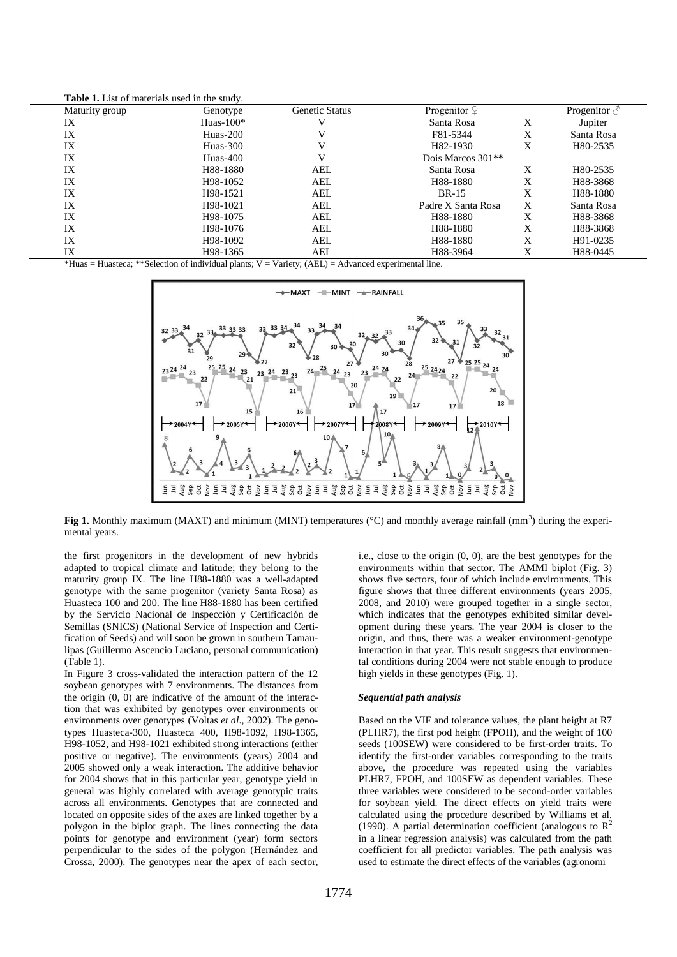**Table 1.** List of materials used in the study.

| Maturity group | Genotype              | <b>Genetic Status</b> | Progenitor $\varphi$  |   | Progenitor $\beta$ |
|----------------|-----------------------|-----------------------|-----------------------|---|--------------------|
| IX             | Huas- $100*$          |                       | Santa Rosa            | X | Jupiter            |
| IX             | $Huas-200$            |                       | F81-5344              | X | Santa Rosa         |
| IX             | $Huas-300$            |                       | H <sub>82</sub> -1930 | X | H80-2535           |
| IX             | $Huas-400$            |                       | Dois Marcos $301**$   |   |                    |
| IX             | H88-1880              | AEL                   | Santa Rosa            | X | H80-2535           |
| IX             | H98-1052              | AEL                   | H88-1880              | X | H88-3868           |
| IX             | H <sub>98</sub> -1521 | AEL                   | <b>BR-15</b>          | X | H88-1880           |
| IX             | H98-1021              | AEL                   | Padre X Santa Rosa    | X | Santa Rosa         |
| IX             | H <sub>98</sub> -1075 | AEL                   | H88-1880              | X | H88-3868           |
| IX             | H98-1076              | AEL                   | H88-1880              | X | H88-3868           |
| IX             | H98-1092              | AEL                   | H88-1880              | X | H91-0235           |
| IX             | H <sub>98</sub> -1365 | AEL                   | H88-3964              | Х | H88-0445           |

 $*$ Huas = Huasteca;  $**$ Selection of individual plants;  $V = \text{Variety}$ ; (AEL) = Advanced experimental line.



**Fig 1.** Monthly maximum (MAXT) and minimum (MINT) temperatures ( $\degree$ C) and monthly average rainfall (mm<sup>3</sup>) during the experimental years.

the first progenitors in the development of new hybrids adapted to tropical climate and latitude; they belong to the maturity group IX. The line H88-1880 was a well-adapted genotype with the same progenitor (variety Santa Rosa) as Huasteca 100 and 200. The line H88-1880 has been certified by the Servicio Nacional de Inspección y Certificación de Semillas (SNICS) (National Service of Inspection and Certification of Seeds) and will soon be grown in southern Tamaulipas (Guillermo Ascencio Luciano, personal communication) (Table 1).

In Figure 3 cross-validated the interaction pattern of the 12 soybean genotypes with 7 environments. The distances from the origin (0, 0) are indicative of the amount of the interaction that was exhibited by genotypes over environments or environments over genotypes (Voltas *et al*., 2002). The genotypes Huasteca-300, Huasteca 400, H98-1092, H98-1365, H98-1052, and H98-1021 exhibited strong interactions (either positive or negative). The environments (years) 2004 and 2005 showed only a weak interaction. The additive behavior for 2004 shows that in this particular year, genotype yield in general was highly correlated with average genotypic traits across all environments. Genotypes that are connected and located on opposite sides of the axes are linked together by a polygon in the biplot graph. The lines connecting the data points for genotype and environment (year) form sectors perpendicular to the sides of the polygon (Hernández and Crossa, 2000). The genotypes near the apex of each sector,

i.e., close to the origin (0, 0), are the best genotypes for the environments within that sector. The AMMI biplot (Fig. 3) shows five sectors, four of which include environments. This figure shows that three different environments (years 2005, 2008, and 2010) were grouped together in a single sector, which indicates that the genotypes exhibited similar development during these years. The year 2004 is closer to the origin, and thus, there was a weaker environment-genotype interaction in that year. This result suggests that environmental conditions during 2004 were not stable enough to produce high yields in these genotypes (Fig. 1).

#### *Sequential path analysis*

Based on the VIF and tolerance values, the plant height at R7 (PLHR7), the first pod height (FPOH), and the weight of 100 seeds (100SEW) were considered to be first-order traits. To identify the first-order variables corresponding to the traits above, the procedure was repeated using the variables PLHR7, FPOH, and 100SEW as dependent variables. These three variables were considered to be second-order variables for soybean yield. The direct effects on yield traits were calculated using the procedure described by Williams et al. (1990). A partial determination coefficient (analogous to  $\mathbb{R}^2$ ) in a linear regression analysis) was calculated from the path coefficient for all predictor variables. The path analysis was used to estimate the direct effects of the variables (agronomi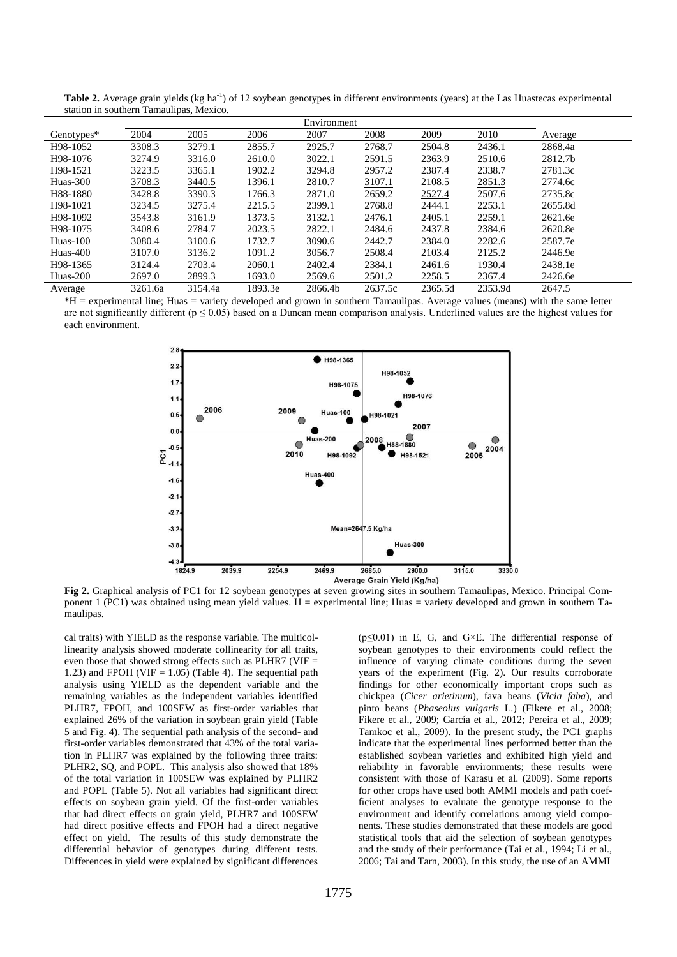| Environment |         |         |         |         |         |         |         |         |
|-------------|---------|---------|---------|---------|---------|---------|---------|---------|
| Genotypes*  | 2004    | 2005    | 2006    | 2007    | 2008    | 2009    | 2010    | Average |
| H98-1052    | 3308.3  | 3279.1  | 2855.7  | 2925.7  | 2768.7  | 2504.8  | 2436.1  | 2868.4a |
| H98-1076    | 3274.9  | 3316.0  | 2610.0  | 3022.1  | 2591.5  | 2363.9  | 2510.6  | 2812.7b |
| H98-1521    | 3223.5  | 3365.1  | 1902.2  | 3294.8  | 2957.2  | 2387.4  | 2338.7  | 2781.3c |
| Huas-300    | 3708.3  | 3440.5  | 1396.1  | 2810.7  | 3107.1  | 2108.5  | 2851.3  | 2774.6c |
| H88-1880    | 3428.8  | 3390.3  | 1766.3  | 2871.0  | 2659.2  | 2527.4  | 2507.6  | 2735.8c |
| H98-1021    | 3234.5  | 3275.4  | 2215.5  | 2399.1  | 2768.8  | 2444.1  | 2253.1  | 2655.8d |
| H98-1092    | 3543.8  | 3161.9  | 1373.5  | 3132.1  | 2476.1  | 2405.1  | 2259.1  | 2621.6e |
| H98-1075    | 3408.6  | 2784.7  | 2023.5  | 2822.1  | 2484.6  | 2437.8  | 2384.6  | 2620.8e |
| Huas-100    | 3080.4  | 3100.6  | 1732.7  | 3090.6  | 2442.7  | 2384.0  | 2282.6  | 2587.7e |
| Huas-400    | 3107.0  | 3136.2  | 1091.2  | 3056.7  | 2508.4  | 2103.4  | 2125.2  | 2446.9e |
| H98-1365    | 3124.4  | 2703.4  | 2060.1  | 2402.4  | 2384.1  | 2461.6  | 1930.4  | 2438.1e |
| Huas-200    | 2697.0  | 2899.3  | 1693.0  | 2569.6  | 2501.2  | 2258.5  | 2367.4  | 2426.6e |
| Average     | 3261.6a | 3154.4a | 1893.3e | 2866.4b | 2637.5c | 2365.5d | 2353.9d | 2647.5  |

Table 2. Average grain yields (kg ha<sup>-1</sup>) of 12 soybean genotypes in different environments (years) at the Las Huastecas experimental station in southern Tamaulipas, Mexico.

\*H = experimental line; Huas = variety developed and grown in southern Tamaulipas. Average values (means) with the same letter are not significantly different ( $p \le 0.05$ ) based on a Duncan mean comparison analysis. Underlined values are the highest values for each environment.



**Fig 2.** Graphical analysis of PC1 for 12 soybean genotypes at seven growing sites in southern Tamaulipas, Mexico. Principal Component 1 (PC1) was obtained using mean yield values. H = experimental line; Huas = variety developed and grown in southern Tamaulipas.

cal traits) with YIELD as the response variable. The multicollinearity analysis showed moderate collinearity for all traits, even those that showed strong effects such as PLHR7 (VIF = 1.23) and FPOH (VIF  $= 1.05$ ) (Table 4). The sequential path analysis using YIELD as the dependent variable and the remaining variables as the independent variables identified PLHR7, FPOH, and 100SEW as first-order variables that explained 26% of the variation in soybean grain yield (Table 5 and Fig. 4). The sequential path analysis of the second- and first-order variables demonstrated that 43% of the total variation in PLHR7 was explained by the following three traits: PLHR2, SQ, and POPL. This analysis also showed that 18% of the total variation in 100SEW was explained by PLHR2 and POPL (Table 5). Not all variables had significant direct effects on soybean grain yield. Of the first-order variables that had direct effects on grain yield, PLHR7 and 100SEW had direct positive effects and FPOH had a direct negative effect on yield. The results of this study demonstrate the differential behavior of genotypes during different tests. Differences in yield were explained by significant differences

 $(p \le 0.01)$  in E, G, and G×E. The differential response of soybean genotypes to their environments could reflect the influence of varying climate conditions during the seven years of the experiment (Fig. 2). Our results corroborate findings for other economically important crops such as chickpea (*Cicer arietinum*), fava beans (*Vicia faba*), and pinto beans (*Phaseolus vulgaris* L.) (Fikere et al., 2008; Fikere et al., 2009; García et al., 2012; Pereira et al., 2009; Tamkoc et al., 2009). In the present study, the PC1 graphs indicate that the experimental lines performed better than the established soybean varieties and exhibited high yield and reliability in favorable environments; these results were consistent with those of Karasu et al. (2009). Some reports for other crops have used both AMMI models and path coefficient analyses to evaluate the genotype response to the environment and identify correlations among yield components. These studies demonstrated that these models are good statistical tools that aid the selection of soybean genotypes and the study of their performance (Tai et al., 1994; Li et al., 2006; Tai and Tarn, 2003). In this study, the use of an AMMI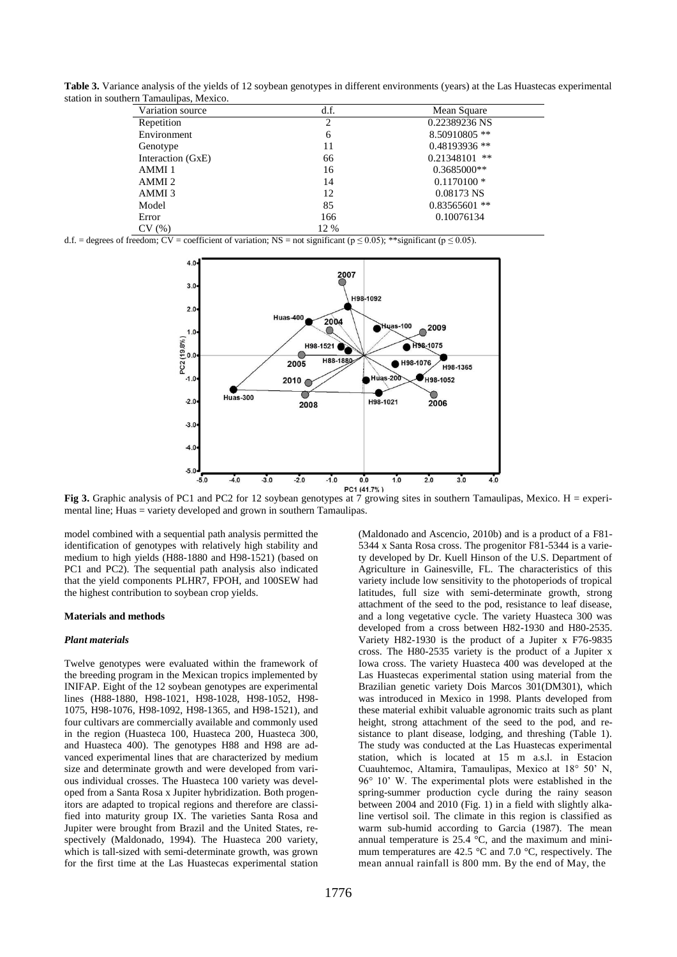**Table 3.** Variance analysis of the yields of 12 soybean genotypes in different environments (years) at the Las Huastecas experimental station in southern Tamaulipas, Mexico.

| Variation source  | d.f.           | Mean Square     |
|-------------------|----------------|-----------------|
| Repetition        | $\overline{c}$ | 0.22389236 NS   |
| Environment       | 6              | 8.50910805 **   |
| Genotype          | 11             | $0.48193936$ ** |
| Interaction (GxE) | 66             | $0.21348101$ ** |
| AMMI 1            | 16             | $0.3685000**$   |
| AMMI <sub>2</sub> | 14             | $0.1170100*$    |
| AMMI 3            | 12             | 0.08173 NS      |
| Model             | 85             | $0.83565601$ ** |
| Error             | 166            | 0.10076134      |
| CV(%)             | 12 %           |                 |

d.f. = degrees of freedom; CV = coefficient of variation; NS = not significant ( $p \le 0.05$ ); \*\*significant ( $p \le 0.05$ ).



Fig 3. Graphic analysis of PC1 and PC2 for 12 soybean genotypes at 7 growing sites in southern Tamaulipas, Mexico. H = experimental line; Huas = variety developed and grown in southern Tamaulipas.

model combined with a sequential path analysis permitted the identification of genotypes with relatively high stability and medium to high yields (H88-1880 and H98-1521) (based on PC1 and PC2). The sequential path analysis also indicated that the yield components PLHR7, FPOH, and 100SEW had the highest contribution to soybean crop yields.

#### **Materials and methods**

#### *Plant materials*

Twelve genotypes were evaluated within the framework of the breeding program in the Mexican tropics implemented by INIFAP. Eight of the 12 soybean genotypes are experimental lines (H88-1880, H98-1021, H98-1028, H98-1052, H98- 1075, H98-1076, H98-1092, H98-1365, and H98-1521), and four cultivars are commercially available and commonly used in the region (Huasteca 100, Huasteca 200, Huasteca 300, and Huasteca 400). The genotypes H88 and H98 are advanced experimental lines that are characterized by medium size and determinate growth and were developed from various individual crosses. The Huasteca 100 variety was developed from a Santa Rosa x Jupiter hybridization. Both progenitors are adapted to tropical regions and therefore are classified into maturity group IX. The varieties Santa Rosa and Jupiter were brought from Brazil and the United States, respectively (Maldonado, 1994). The Huasteca 200 variety, which is tall-sized with semi-determinate growth, was grown for the first time at the Las Huastecas experimental station

(Maldonado and Ascencio, 2010b) and is a product of a F81- 5344 x Santa Rosa cross. The progenitor F81-5344 is a variety developed by Dr. Kuell Hinson of the U.S. Department of Agriculture in Gainesville, FL. The characteristics of this variety include low sensitivity to the photoperiods of tropical latitudes, full size with semi-determinate growth, strong attachment of the seed to the pod, resistance to leaf disease, and a long vegetative cycle. The variety Huasteca 300 was developed from a cross between H82-1930 and H80-2535. Variety H82-1930 is the product of a Jupiter x F76-9835 cross. The H80-2535 variety is the product of a Jupiter x Iowa cross. The variety Huasteca 400 was developed at the Las Huastecas experimental station using material from the Brazilian genetic variety Dois Marcos 301(DM301), which was introduced in Mexico in 1998. Plants developed from these material exhibit valuable agronomic traits such as plant height, strong attachment of the seed to the pod, and resistance to plant disease, lodging, and threshing (Table 1). The study was conducted at the Las Huastecas experimental station, which is located at 15 m a.s.l. in Estacion Cuauhtemoc, Altamira, Tamaulipas, Mexico at 18° 50' N, 96° 10' W. The experimental plots were established in the spring-summer production cycle during the rainy season between 2004 and 2010 (Fig. 1) in a field with slightly alkaline vertisol soil. The climate in this region is classified as warm sub-humid according to Garcia (1987). The mean annual temperature is  $25.4 \text{ °C}$ , and the maximum and minimum temperatures are 42.5 °C and 7.0 °C, respectively. The mean annual rainfall is 800 mm. By the end of May, the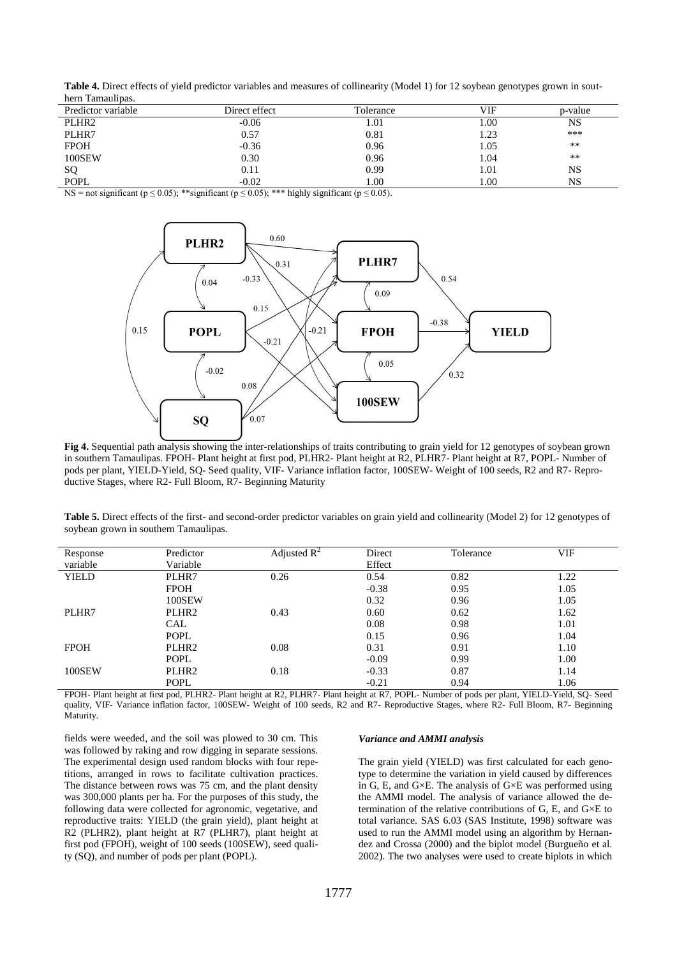**Table 4.** Direct effects of yield predictor variables and measures of collinearity (Model 1) for 12 soybean genotypes grown in southern Tamaulipas.

| Predictor variable | Direct effect | Tolerance | VIF  | p-value |
|--------------------|---------------|-----------|------|---------|
| PLHR <sub>2</sub>  | $-0.06$       | 1.01      | 00.1 | NS      |
| PLHR7              | 0.57          | 0.81      | 1.23 | ***     |
| <b>FPOH</b>        | $-0.36$       | 0.96      | 1.05 | **      |
| 100SEW             | 0.30          | 0.96      | 1.04 | **      |
| SQ                 | 0.11          | 0.99      | 1.01 | NS      |
| <b>POPL</b>        | $-0.02$       | 00.1      | 00.1 | NS      |

NS = not significant ( $p \le 0.05$ ); \*\* significant ( $p \le 0.05$ ); \*\*\* highly significant ( $p \le 0.05$ ).



**Fig 4.** Sequential path analysis showing the inter-relationships of traits contributing to grain yield for 12 genotypes of soybean grown in southern Tamaulipas. FPOH- Plant height at first pod, PLHR2- Plant height at R2, PLHR7- Plant height at R7, POPL- Number of pods per plant, YIELD-Yield, SQ- Seed quality, VIF- Variance inflation factor, 100SEW- Weight of 100 seeds, R2 and R7- Reproductive Stages, where R2- Full Bloom, R7- Beginning Maturity

**Table 5.** Direct effects of the first- and second-order predictor variables on grain yield and collinearity (Model 2) for 12 genotypes of soybean grown in southern Tamaulipas.

| Response     | Predictor         | Adjusted $R^2$ | Direct  | Tolerance | VIF  |
|--------------|-------------------|----------------|---------|-----------|------|
| variable     | Variable          |                | Effect  |           |      |
| <b>YIELD</b> | PLHR7             | 0.26           | 0.54    | 0.82      | 1.22 |
|              | <b>FPOH</b>       |                | $-0.38$ | 0.95      | 1.05 |
|              | 100SEW            |                | 0.32    | 0.96      | 1.05 |
| PLHR7        | PLHR <sub>2</sub> | 0.43           | 0.60    | 0.62      | 1.62 |
|              | <b>CAL</b>        |                | 0.08    | 0.98      | 1.01 |
|              | <b>POPL</b>       |                | 0.15    | 0.96      | 1.04 |
| <b>FPOH</b>  | PLHR <sub>2</sub> | 0.08           | 0.31    | 0.91      | 1.10 |
|              | <b>POPL</b>       |                | $-0.09$ | 0.99      | 1.00 |
| 100SEW       | PLHR <sub>2</sub> | 0.18           | $-0.33$ | 0.87      | 1.14 |
|              | <b>POPL</b>       |                | $-0.21$ | 0.94      | 1.06 |

FPOH- Plant height at first pod, PLHR2- Plant height at R2, PLHR7- Plant height at R7, POPL- Number of pods per plant, YIELD-Yield, SQ- Seed quality, VIF- Variance inflation factor, 100SEW- Weight of 100 seeds, R2 and R7- Reproductive Stages, where R2- Full Bloom, R7- Beginning Maturity.

fields were weeded, and the soil was plowed to 30 cm. This was followed by raking and row digging in separate sessions. The experimental design used random blocks with four repetitions, arranged in rows to facilitate cultivation practices. The distance between rows was 75 cm, and the plant density was 300,000 plants per ha. For the purposes of this study, the following data were collected for agronomic, vegetative, and reproductive traits: YIELD (the grain yield), plant height at R2 (PLHR2), plant height at R7 (PLHR7), plant height at first pod (FPOH), weight of 100 seeds (100SEW), seed quality (SQ), and number of pods per plant (POPL).

#### *Variance and AMMI analysis*

The grain yield (YIELD) was first calculated for each genotype to determine the variation in yield caused by differences in G, E, and G×E. The analysis of G×E was performed using the AMMI model. The analysis of variance allowed the determination of the relative contributions of G, E, and G×E to total variance. SAS 6.03 (SAS Institute, 1998) software was used to run the AMMI model using an algorithm by Hernandez and Crossa (2000) and the biplot model (Burgueño et al*.*  2002). The two analyses were used to create biplots in which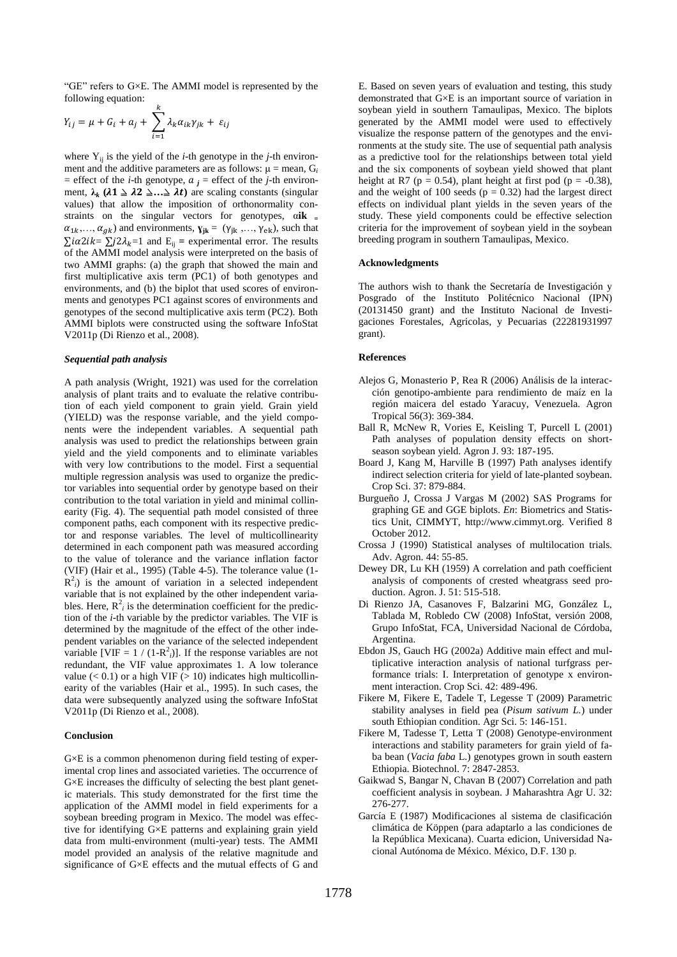"GE" refers to  $G \times E$ . The AMMI model is represented by the following equation:

$$
Y_{ij} = \mu + G_i + a_j + \sum_{i=1}^k \lambda_k \alpha_{ik} \gamma_{jk} + \varepsilon_{ij}
$$

where  $Y_{ii}$  is the yield of the *i*-th genotype in the *j*-th environment and the additive parameters are as follows:  $\mu$  = mean,  $G_i$ = effect of the *i*-th genotype,  $a_j$  = effect of the *j*-th environment,  $\lambda_k$  ( $\lambda \mathbf{1} \geq \lambda \mathbf{2} \geq \ldots \geq \lambda t$ ) are scaling constants (singular values) that allow the imposition of orthonormality constraints on the singular vectors for genotypes, α**ik <sup>=</sup>**  $\alpha_{1k},...,\alpha_{qk}$  and environments,  $\mathbf{y}_{jk} = (\gamma_{jk},...,\gamma_{ek})$ , such that  $\sum i \alpha^2 i k = \sum j^2 \lambda_k = 1$  and  $E_{ij}$  = experimental error. The results of the AMMI model analysis were interpreted on the basis of two AMMI graphs: (a) the graph that showed the main and first multiplicative axis term (PC1) of both genotypes and environments, and (b) the biplot that used scores of environments and genotypes PC1 against scores of environments and genotypes of the second multiplicative axis term (PC2). Both AMMI biplots were constructed using the software InfoStat V2011p (Di Rienzo et al., 2008).

#### *Sequential path analysis*

A path analysis (Wright, 1921) was used for the correlation analysis of plant traits and to evaluate the relative contribution of each yield component to grain yield. Grain yield (YIELD) was the response variable, and the yield components were the independent variables. A sequential path analysis was used to predict the relationships between grain yield and the yield components and to eliminate variables with very low contributions to the model. First a sequential multiple regression analysis was used to organize the predictor variables into sequential order by genotype based on their contribution to the total variation in yield and minimal collinearity (Fig. 4). The sequential path model consisted of three component paths, each component with its respective predictor and response variables. The level of multicollinearity determined in each component path was measured according to the value of tolerance and the variance inflation factor (VIF) (Hair et al., 1995) (Table 4-5). The tolerance value (1-  $R^2$ <sub>i</sub>) is the amount of variation in a selected independent variable that is not explained by the other independent variables. Here,  $R^2$  is the determination coefficient for the prediction of the *i*-th variable by the predictor variables. The VIF is determined by the magnitude of the effect of the other independent variables on the variance of the selected independent variable [VIF =  $1 / (1 - R^2)$ ]. If the response variables are not redundant, the VIF value approximates 1. A low tolerance value  $(< 0.1)$  or a high VIF  $(> 10)$  indicates high multicollinearity of the variables (Hair et al., 1995). In such cases, the data were subsequently analyzed using the software InfoStat V2011p (Di Rienzo et al., 2008).

#### **Conclusion**

G $\times$ E is a common phenomenon during field testing of experimental crop lines and associated varieties. The occurrence of G×E increases the difficulty of selecting the best plant genetic materials. This study demonstrated for the first time the application of the AMMI model in field experiments for a soybean breeding program in Mexico. The model was effective for identifying G×E patterns and explaining grain yield data from multi-environment (multi-year) tests. The AMMI model provided an analysis of the relative magnitude and significance of G×E effects and the mutual effects of G and

E. Based on seven years of evaluation and testing, this study demonstrated that G×E is an important source of variation in soybean yield in southern Tamaulipas, Mexico. The biplots generated by the AMMI model were used to effectively visualize the response pattern of the genotypes and the environments at the study site. The use of sequential path analysis as a predictive tool for the relationships between total yield and the six components of soybean yield showed that plant height at R7 ( $p = 0.54$ ), plant height at first pod ( $p = -0.38$ ), and the weight of 100 seeds ( $p = 0.32$ ) had the largest direct effects on individual plant yields in the seven years of the study. These yield components could be effective selection criteria for the improvement of soybean yield in the soybean breeding program in southern Tamaulipas, Mexico.

#### **Acknowledgments**

The authors wish to thank the Secretaría de Investigación y Posgrado of the Instituto Politécnico Nacional (IPN) (20131450 grant) and the Instituto Nacional de Investigaciones Forestales, Agricolas, y Pecuarias (22281931997 grant).

#### **References**

- Alejos G, Monasterio P, Rea R (2006) Análisis de la interacción genotipo-ambiente para rendimiento de maíz en la región maicera del estado Yaracuy, Venezuela. Agron Tropical 56(3): 369-384.
- Ball R, McNew R, Vories E, Keisling T, Purcell L (2001) Path analyses of population density effects on shortseason soybean yield. Agron J. 93: 187-195.
- Board J, Kang M, Harville B (1997) Path analyses identify indirect selection criteria for yield of late-planted soybean. Crop Sci. 37: 879-884.
- Burgueño J, Crossa J Vargas M (2002) SAS Programs for graphing GE and GGE biplots. *En*: Biometrics and Statistics Unit, CIMMYT, http://www.cimmyt.org. Verified 8 October 2012.
- Crossa J (1990) Statistical analyses of multilocation trials. Adv. Agron. 44: 55-85.
- Dewey DR, Lu KH (1959) A correlation and path coefficient analysis of components of crested wheatgrass seed production. Agron. J. 51: 515-518.
- Di Rienzo JA, Casanoves F, Balzarini MG, González L, Tablada M, Robledo CW (2008) InfoStat*,* versión 2008*,*  Grupo InfoStat, FCA, Universidad Nacional de Córdoba, Argentina.
- Ebdon JS, Gauch HG (2002a) Additive main effect and multiplicative interaction analysis of national turfgrass performance trials: I. Interpretation of genotype x environment interaction. Crop Sci. 42: 489-496.
- Fikere M, Fikere E, Tadele T, Legesse T (2009) Parametric stability analyses in field pea (*Pisum sativum L.*) under south Ethiopian condition. Agr Sci. 5: 146-151.
- Fikere M, Tadesse T, Letta T (2008) Genotype-environment interactions and stability parameters for grain yield of faba bean (*Vacia faba* L.) genotypes grown in south eastern Ethiopia. Biotechnol. 7: 2847-2853.
- Gaikwad S, Bangar N, Chavan B (2007) Correlation and path coefficient analysis in soybean. J Maharashtra Agr U. 32: 276-277.
- García E (1987) Modificaciones al sistema de clasificación climática de Köppen (para adaptarlo a las condiciones de la República Mexicana). Cuarta edicion, Universidad Nacional Autónoma de México. México, D.F. 130 p.